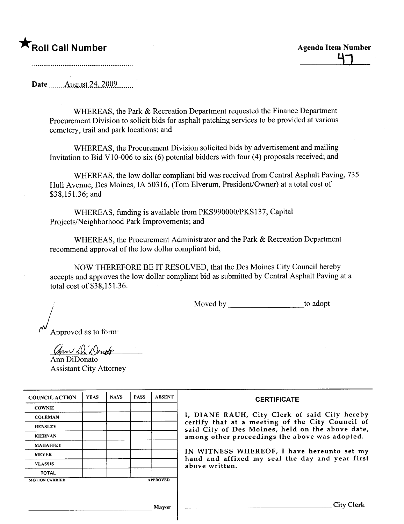\*Roll Call Number<br>
47

Date August 24, 2009

WHEREAS, the Park & Recreation Department requested the Finance Department Procurement Division to solicit bids for asphalt patching services to be provided at various cemetery, trail and park locations; and

WHEREAS, the Procurement Division solicited bids by advertisement and mailing Invitation to Bid V10-006 to six (6) potential bidders with four (4) proposals received; and

WHEREAS, the low dollar compliant bid was received from Central Asphalt Paving, 735 Hull Avenue, Des Moines, IA 50316, (Tom Elverum, President/Owner) at a total cost of \$38,151.36; and

WHEREAS, funding is available from PKS990000/PKS137, Capital Projects/Neighborhood Park Improvements; and

WHEREAS, the Procurement Administrator and the Park & Recreation Department recommend approval of the low dollar compliant bid,

NOW THEREFORE BE IT RESOLVED, that the Des Moines City Council hereby accepts and approves the low dollar compliant bid as submitted by Central Asphalt Paving at a total cost of \$38,151.36.

Moved by \_\_\_\_\_\_\_\_\_\_\_\_\_\_\_\_\_\_\_\_\_\_\_\_to adopt

Approved as to form:

Ann D. Donote

Ann DiDonato Assistant City Attorney

| <b>COUNCIL ACTION</b> | <b>YEAS</b> | <b>NAYS</b> | <b>PASS</b> | <b>ABSENT</b>   | <b>CERTIFICATE</b>                                                                                   |
|-----------------------|-------------|-------------|-------------|-----------------|------------------------------------------------------------------------------------------------------|
| <b>COWNIE</b>         |             |             |             |                 |                                                                                                      |
| <b>COLEMAN</b>        |             |             |             |                 | I, DIANE RAUH, City Clerk of said City hereby                                                        |
| <b>HENSLEY</b>        |             |             |             |                 | certify that at a meeting of the City Council of<br>said City of Des Moines, held on the above date, |
| <b>KIERNAN</b>        |             |             |             |                 | among other proceedings the above was adopted.                                                       |
| <b>MAHAFFEY</b>       |             |             |             |                 |                                                                                                      |
| <b>MEYER</b>          |             |             |             |                 | IN WITNESS WHEREOF, I have hereunto set my<br>hand and affixed my seal the day and year first        |
| <b>VLASSIS</b>        |             |             |             |                 | above written.                                                                                       |
| <b>TOTAL</b>          |             |             |             |                 |                                                                                                      |
| <b>MOTION CARRIED</b> |             |             |             | <b>APPROVED</b> |                                                                                                      |
|                       |             |             |             |                 |                                                                                                      |
|                       |             |             |             | Mayor           | City Clerk                                                                                           |